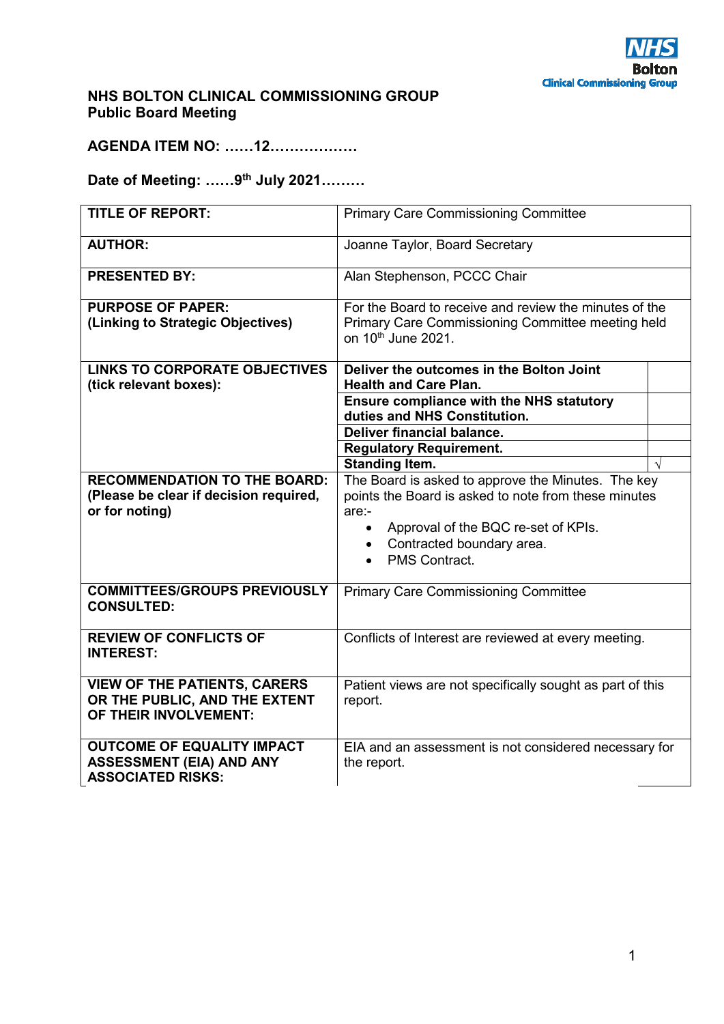

## **NHS BOLTON CLINICAL COMMISSIONING GROUP Public Board Meeting**

**AGENDA ITEM NO: ……12………………** 

**Date of Meeting: ……9th July 2021………** 

| <b>TITLE OF REPORT:</b>                                                                          | <b>Primary Care Commissioning Committee</b>                                                                                                                                                                                             |  |
|--------------------------------------------------------------------------------------------------|-----------------------------------------------------------------------------------------------------------------------------------------------------------------------------------------------------------------------------------------|--|
| <b>AUTHOR:</b>                                                                                   | Joanne Taylor, Board Secretary                                                                                                                                                                                                          |  |
| <b>PRESENTED BY:</b>                                                                             | Alan Stephenson, PCCC Chair                                                                                                                                                                                                             |  |
| <b>PURPOSE OF PAPER:</b><br>(Linking to Strategic Objectives)                                    | For the Board to receive and review the minutes of the<br>Primary Care Commissioning Committee meeting held<br>on 10th June 2021.                                                                                                       |  |
| <b>LINKS TO CORPORATE OBJECTIVES</b><br>(tick relevant boxes):                                   | Deliver the outcomes in the Bolton Joint<br><b>Health and Care Plan.</b>                                                                                                                                                                |  |
|                                                                                                  | <b>Ensure compliance with the NHS statutory</b><br>duties and NHS Constitution.                                                                                                                                                         |  |
|                                                                                                  | Deliver financial balance.                                                                                                                                                                                                              |  |
|                                                                                                  | <b>Regulatory Requirement.</b><br><b>Standing Item.</b>                                                                                                                                                                                 |  |
| <b>RECOMMENDATION TO THE BOARD:</b><br>(Please be clear if decision required,<br>or for noting)  | The Board is asked to approve the Minutes. The key<br>points the Board is asked to note from these minutes<br>$are:$ -<br>Approval of the BQC re-set of KPIs.<br>$\bullet$<br>• Contracted boundary area.<br>PMS Contract.<br>$\bullet$ |  |
| <b>COMMITTEES/GROUPS PREVIOUSLY</b><br><b>CONSULTED:</b>                                         | <b>Primary Care Commissioning Committee</b>                                                                                                                                                                                             |  |
| <b>REVIEW OF CONFLICTS OF</b><br><b>INTEREST:</b>                                                | Conflicts of Interest are reviewed at every meeting.                                                                                                                                                                                    |  |
| <b>VIEW OF THE PATIENTS, CARERS</b><br>OR THE PUBLIC, AND THE EXTENT<br>OF THEIR INVOLVEMENT:    | Patient views are not specifically sought as part of this<br>report.                                                                                                                                                                    |  |
| <b>OUTCOME OF EQUALITY IMPACT</b><br><b>ASSESSMENT (EIA) AND ANY</b><br><b>ASSOCIATED RISKS:</b> | EIA and an assessment is not considered necessary for<br>the report.                                                                                                                                                                    |  |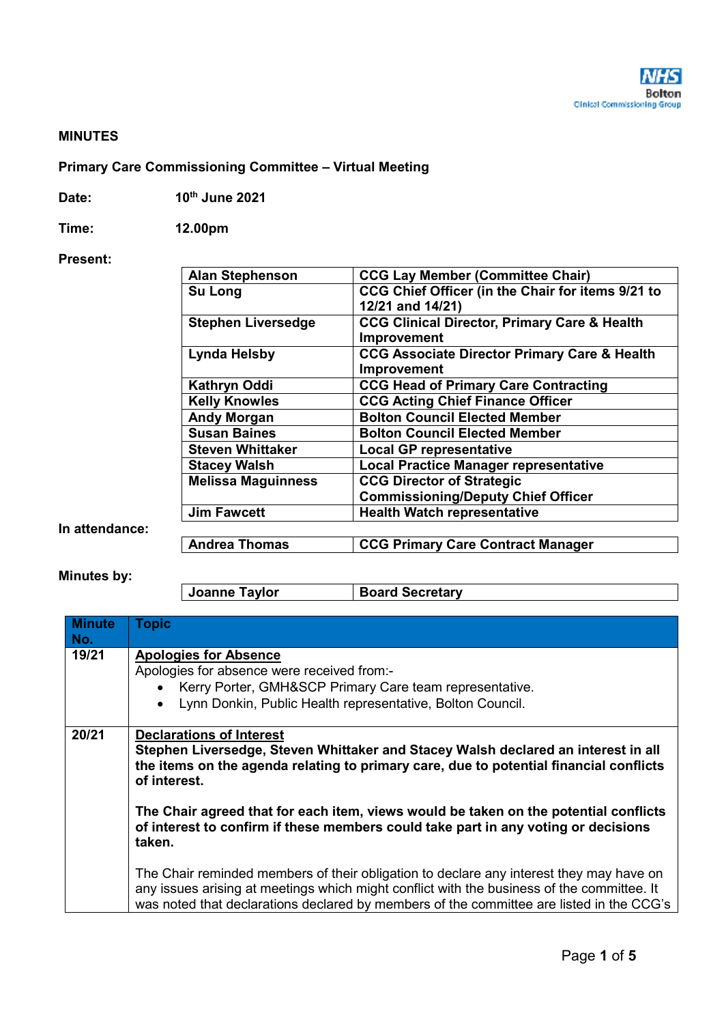## **MINUTES**

## **Primary Care Commissioning Committee – Virtual Meeting**

| Date: | 10th June 2021 |
|-------|----------------|
|-------|----------------|

**Time: 12.00pm** 

## **Present:**

| <b>CCG Lay Member (Committee Chair)</b>                 |
|---------------------------------------------------------|
| CCG Chief Officer (in the Chair for items 9/21 to       |
| 12/21 and 14/21)                                        |
| <b>CCG Clinical Director, Primary Care &amp; Health</b> |
| Improvement                                             |
| <b>CCG Associate Director Primary Care &amp; Health</b> |
| Improvement                                             |
| <b>CCG Head of Primary Care Contracting</b>             |
| <b>CCG Acting Chief Finance Officer</b>                 |
| <b>Bolton Council Elected Member</b>                    |
| <b>Bolton Council Elected Member</b>                    |
| <b>Local GP representative</b>                          |
| <b>Local Practice Manager representative</b>            |
| <b>CCG Director of Strategic</b>                        |
| <b>Commissioning/Deputy Chief Officer</b>               |
| <b>Health Watch representative</b>                      |
|                                                         |
| <b>CCG Primary Care Contract Manager</b>                |
|                                                         |

**In attendance:** 

**Minutes by:** 

**Joanne Taylor Board Secretary** 

| <b>Minute</b><br>No. | <b>Topic</b>                                                                                                                                                                                                                                                                                                                                                                                                           |  |
|----------------------|------------------------------------------------------------------------------------------------------------------------------------------------------------------------------------------------------------------------------------------------------------------------------------------------------------------------------------------------------------------------------------------------------------------------|--|
| 19/21                | <b>Apologies for Absence</b><br>Apologies for absence were received from:-<br>• Kerry Porter, GMH&SCP Primary Care team representative.<br>Lynn Donkin, Public Health representative, Bolton Council.<br>$\bullet$                                                                                                                                                                                                     |  |
| 20/21                | <b>Declarations of Interest</b><br>Stephen Liversedge, Steven Whittaker and Stacey Walsh declared an interest in all<br>the items on the agenda relating to primary care, due to potential financial conflicts<br>of interest.<br>The Chair agreed that for each item, views would be taken on the potential conflicts<br>of interest to confirm if these members could take part in any voting or decisions<br>taken. |  |
|                      | The Chair reminded members of their obligation to declare any interest they may have on<br>any issues arising at meetings which might conflict with the business of the committee. It<br>was noted that declarations declared by members of the committee are listed in the CCG's                                                                                                                                      |  |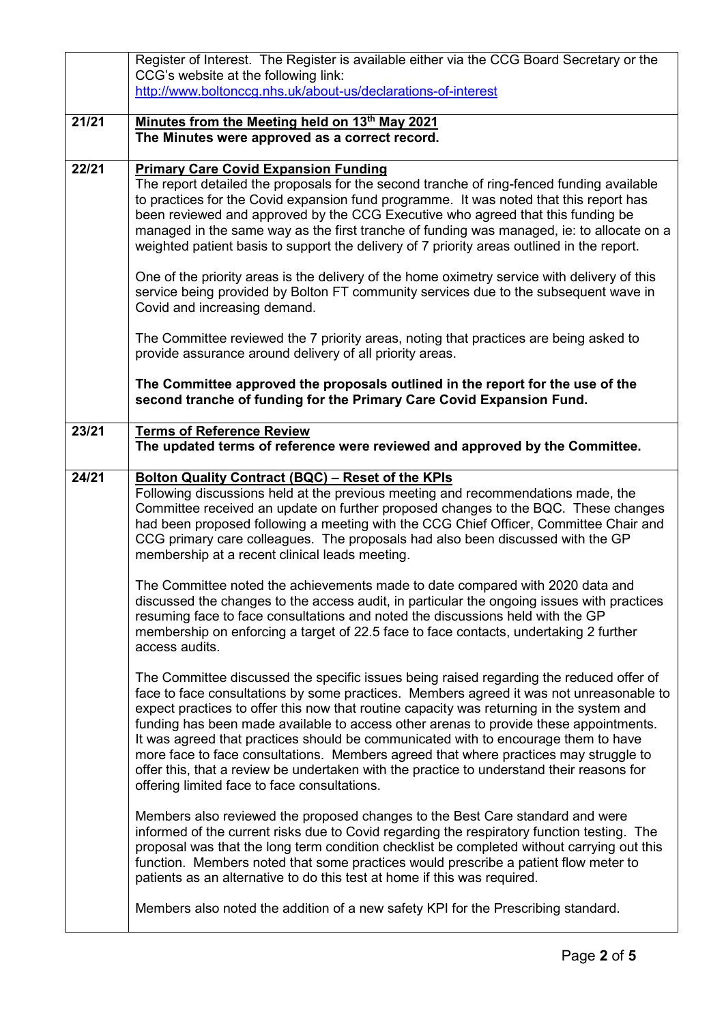|       | Register of Interest. The Register is available either via the CCG Board Secretary or the                                                                                                                                                                                                                                                                                                                                                                                                                                                                                                                                                                                                          |
|-------|----------------------------------------------------------------------------------------------------------------------------------------------------------------------------------------------------------------------------------------------------------------------------------------------------------------------------------------------------------------------------------------------------------------------------------------------------------------------------------------------------------------------------------------------------------------------------------------------------------------------------------------------------------------------------------------------------|
|       | CCG's website at the following link:                                                                                                                                                                                                                                                                                                                                                                                                                                                                                                                                                                                                                                                               |
|       | http://www.boltonccg.nhs.uk/about-us/declarations-of-interest                                                                                                                                                                                                                                                                                                                                                                                                                                                                                                                                                                                                                                      |
| 21/21 | Minutes from the Meeting held on 13th May 2021                                                                                                                                                                                                                                                                                                                                                                                                                                                                                                                                                                                                                                                     |
|       | The Minutes were approved as a correct record.                                                                                                                                                                                                                                                                                                                                                                                                                                                                                                                                                                                                                                                     |
|       |                                                                                                                                                                                                                                                                                                                                                                                                                                                                                                                                                                                                                                                                                                    |
| 22/21 | <b>Primary Care Covid Expansion Funding</b>                                                                                                                                                                                                                                                                                                                                                                                                                                                                                                                                                                                                                                                        |
|       | The report detailed the proposals for the second tranche of ring-fenced funding available<br>to practices for the Covid expansion fund programme. It was noted that this report has<br>been reviewed and approved by the CCG Executive who agreed that this funding be<br>managed in the same way as the first tranche of funding was managed, ie: to allocate on a<br>weighted patient basis to support the delivery of 7 priority areas outlined in the report.                                                                                                                                                                                                                                  |
|       | One of the priority areas is the delivery of the home oximetry service with delivery of this<br>service being provided by Bolton FT community services due to the subsequent wave in<br>Covid and increasing demand.                                                                                                                                                                                                                                                                                                                                                                                                                                                                               |
|       | The Committee reviewed the 7 priority areas, noting that practices are being asked to<br>provide assurance around delivery of all priority areas.                                                                                                                                                                                                                                                                                                                                                                                                                                                                                                                                                  |
|       | The Committee approved the proposals outlined in the report for the use of the<br>second tranche of funding for the Primary Care Covid Expansion Fund.                                                                                                                                                                                                                                                                                                                                                                                                                                                                                                                                             |
| 23/21 | <b>Terms of Reference Review</b><br>The updated terms of reference were reviewed and approved by the Committee.                                                                                                                                                                                                                                                                                                                                                                                                                                                                                                                                                                                    |
| 24/21 | <b>Bolton Quality Contract (BQC) - Reset of the KPIs</b><br>Following discussions held at the previous meeting and recommendations made, the<br>Committee received an update on further proposed changes to the BQC. These changes<br>had been proposed following a meeting with the CCG Chief Officer, Committee Chair and<br>CCG primary care colleagues. The proposals had also been discussed with the GP<br>membership at a recent clinical leads meeting.                                                                                                                                                                                                                                    |
|       | The Committee noted the achievements made to date compared with 2020 data and<br>discussed the changes to the access audit, in particular the ongoing issues with practices<br>resuming face to face consultations and noted the discussions held with the GP<br>membership on enforcing a target of 22.5 face to face contacts, undertaking 2 further<br>access audits.                                                                                                                                                                                                                                                                                                                           |
|       | The Committee discussed the specific issues being raised regarding the reduced offer of<br>face to face consultations by some practices. Members agreed it was not unreasonable to<br>expect practices to offer this now that routine capacity was returning in the system and<br>funding has been made available to access other arenas to provide these appointments.<br>It was agreed that practices should be communicated with to encourage them to have<br>more face to face consultations. Members agreed that where practices may struggle to<br>offer this, that a review be undertaken with the practice to understand their reasons for<br>offering limited face to face consultations. |
|       | Members also reviewed the proposed changes to the Best Care standard and were<br>informed of the current risks due to Covid regarding the respiratory function testing. The<br>proposal was that the long term condition checklist be completed without carrying out this<br>function. Members noted that some practices would prescribe a patient flow meter to<br>patients as an alternative to do this test at home if this was required.                                                                                                                                                                                                                                                       |
|       | Members also noted the addition of a new safety KPI for the Prescribing standard.                                                                                                                                                                                                                                                                                                                                                                                                                                                                                                                                                                                                                  |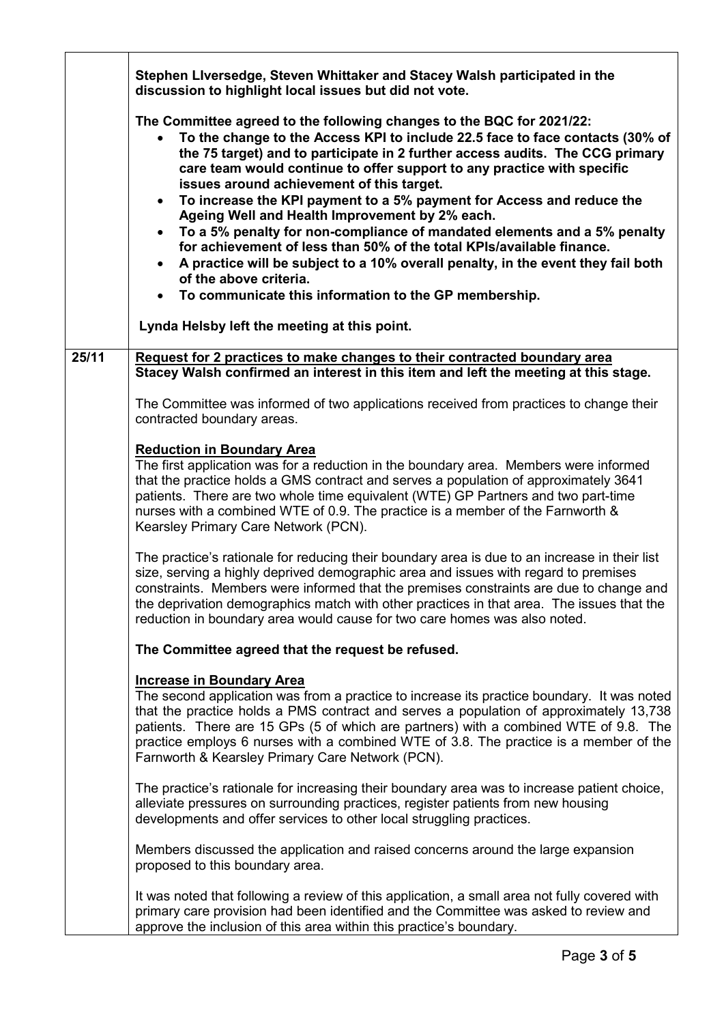|       | Stephen Liversedge, Steven Whittaker and Stacey Walsh participated in the<br>discussion to highlight local issues but did not vote.                                                                                                                                                                                                                                                                                                                                                                                                                                                                                                                                                                                                                                                                                                                           |
|-------|---------------------------------------------------------------------------------------------------------------------------------------------------------------------------------------------------------------------------------------------------------------------------------------------------------------------------------------------------------------------------------------------------------------------------------------------------------------------------------------------------------------------------------------------------------------------------------------------------------------------------------------------------------------------------------------------------------------------------------------------------------------------------------------------------------------------------------------------------------------|
|       | The Committee agreed to the following changes to the BQC for 2021/22:<br>To the change to the Access KPI to include 22.5 face to face contacts (30% of<br>the 75 target) and to participate in 2 further access audits. The CCG primary<br>care team would continue to offer support to any practice with specific<br>issues around achievement of this target.<br>To increase the KPI payment to a 5% payment for Access and reduce the<br>$\bullet$<br>Ageing Well and Health Improvement by 2% each.<br>To a 5% penalty for non-compliance of mandated elements and a 5% penalty<br>$\bullet$<br>for achievement of less than 50% of the total KPIs/available finance.<br>A practice will be subject to a 10% overall penalty, in the event they fail both<br>$\bullet$<br>of the above criteria.<br>To communicate this information to the GP membership. |
|       | Lynda Helsby left the meeting at this point.                                                                                                                                                                                                                                                                                                                                                                                                                                                                                                                                                                                                                                                                                                                                                                                                                  |
| 25/11 | Request for 2 practices to make changes to their contracted boundary area<br>Stacey Walsh confirmed an interest in this item and left the meeting at this stage.                                                                                                                                                                                                                                                                                                                                                                                                                                                                                                                                                                                                                                                                                              |
|       | The Committee was informed of two applications received from practices to change their<br>contracted boundary areas.                                                                                                                                                                                                                                                                                                                                                                                                                                                                                                                                                                                                                                                                                                                                          |
|       | <b>Reduction in Boundary Area</b><br>The first application was for a reduction in the boundary area. Members were informed<br>that the practice holds a GMS contract and serves a population of approximately 3641<br>patients. There are two whole time equivalent (WTE) GP Partners and two part-time<br>nurses with a combined WTE of 0.9. The practice is a member of the Farnworth &<br>Kearsley Primary Care Network (PCN).                                                                                                                                                                                                                                                                                                                                                                                                                             |
|       | The practice's rationale for reducing their boundary area is due to an increase in their list<br>size, serving a highly deprived demographic area and issues with regard to premises<br>constraints. Members were informed that the premises constraints are due to change and<br>the deprivation demographics match with other practices in that area. The issues that the<br>reduction in boundary area would cause for two care homes was also noted.                                                                                                                                                                                                                                                                                                                                                                                                      |
|       | The Committee agreed that the request be refused.                                                                                                                                                                                                                                                                                                                                                                                                                                                                                                                                                                                                                                                                                                                                                                                                             |
|       | <b>Increase in Boundary Area</b><br>The second application was from a practice to increase its practice boundary. It was noted<br>that the practice holds a PMS contract and serves a population of approximately 13,738<br>patients. There are 15 GPs (5 of which are partners) with a combined WTE of 9.8. The<br>practice employs 6 nurses with a combined WTE of 3.8. The practice is a member of the<br>Farnworth & Kearsley Primary Care Network (PCN).                                                                                                                                                                                                                                                                                                                                                                                                 |
|       | The practice's rationale for increasing their boundary area was to increase patient choice,<br>alleviate pressures on surrounding practices, register patients from new housing<br>developments and offer services to other local struggling practices.                                                                                                                                                                                                                                                                                                                                                                                                                                                                                                                                                                                                       |
|       | Members discussed the application and raised concerns around the large expansion<br>proposed to this boundary area.                                                                                                                                                                                                                                                                                                                                                                                                                                                                                                                                                                                                                                                                                                                                           |
|       | It was noted that following a review of this application, a small area not fully covered with<br>primary care provision had been identified and the Committee was asked to review and<br>approve the inclusion of this area within this practice's boundary.                                                                                                                                                                                                                                                                                                                                                                                                                                                                                                                                                                                                  |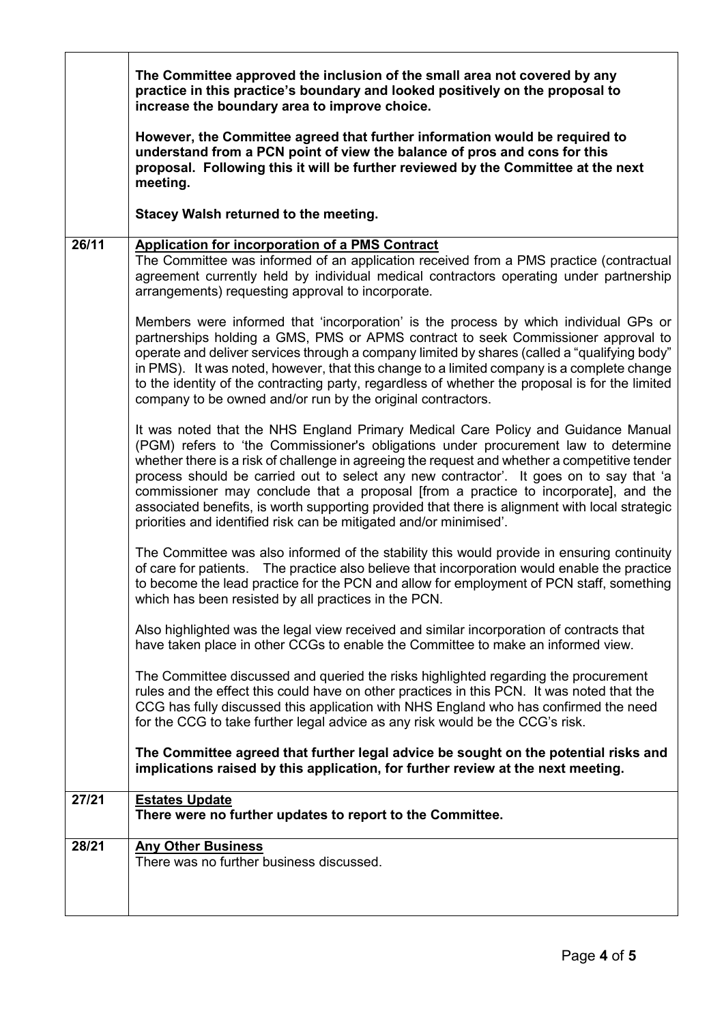|       | The Committee approved the inclusion of the small area not covered by any<br>practice in this practice's boundary and looked positively on the proposal to<br>increase the boundary area to improve choice.                                                                                                                                                                                                                                                                                                                                                                                                                       |
|-------|-----------------------------------------------------------------------------------------------------------------------------------------------------------------------------------------------------------------------------------------------------------------------------------------------------------------------------------------------------------------------------------------------------------------------------------------------------------------------------------------------------------------------------------------------------------------------------------------------------------------------------------|
|       | However, the Committee agreed that further information would be required to<br>understand from a PCN point of view the balance of pros and cons for this<br>proposal. Following this it will be further reviewed by the Committee at the next<br>meeting.                                                                                                                                                                                                                                                                                                                                                                         |
|       | Stacey Walsh returned to the meeting.                                                                                                                                                                                                                                                                                                                                                                                                                                                                                                                                                                                             |
| 26/11 | <b>Application for incorporation of a PMS Contract</b><br>The Committee was informed of an application received from a PMS practice (contractual<br>agreement currently held by individual medical contractors operating under partnership<br>arrangements) requesting approval to incorporate.                                                                                                                                                                                                                                                                                                                                   |
|       | Members were informed that 'incorporation' is the process by which individual GPs or<br>partnerships holding a GMS, PMS or APMS contract to seek Commissioner approval to<br>operate and deliver services through a company limited by shares (called a "qualifying body"<br>in PMS). It was noted, however, that this change to a limited company is a complete change<br>to the identity of the contracting party, regardless of whether the proposal is for the limited<br>company to be owned and/or run by the original contractors.                                                                                         |
|       | It was noted that the NHS England Primary Medical Care Policy and Guidance Manual<br>(PGM) refers to 'the Commissioner's obligations under procurement law to determine<br>whether there is a risk of challenge in agreeing the request and whether a competitive tender<br>process should be carried out to select any new contractor'. It goes on to say that 'a<br>commissioner may conclude that a proposal [from a practice to incorporate], and the<br>associated benefits, is worth supporting provided that there is alignment with local strategic<br>priorities and identified risk can be mitigated and/or minimised'. |
|       | The Committee was also informed of the stability this would provide in ensuring continuity<br>of care for patients. The practice also believe that incorporation would enable the practice<br>to become the lead practice for the PCN and allow for employment of PCN staff, something<br>which has been resisted by all practices in the PCN.                                                                                                                                                                                                                                                                                    |
|       | Also highlighted was the legal view received and similar incorporation of contracts that<br>have taken place in other CCGs to enable the Committee to make an informed view.                                                                                                                                                                                                                                                                                                                                                                                                                                                      |
|       | The Committee discussed and queried the risks highlighted regarding the procurement<br>rules and the effect this could have on other practices in this PCN. It was noted that the<br>CCG has fully discussed this application with NHS England who has confirmed the need<br>for the CCG to take further legal advice as any risk would be the CCG's risk.                                                                                                                                                                                                                                                                        |
|       | The Committee agreed that further legal advice be sought on the potential risks and<br>implications raised by this application, for further review at the next meeting.                                                                                                                                                                                                                                                                                                                                                                                                                                                           |
| 27/21 | <b>Estates Update</b><br>There were no further updates to report to the Committee.                                                                                                                                                                                                                                                                                                                                                                                                                                                                                                                                                |
| 28/21 | <b>Any Other Business</b><br>There was no further business discussed.                                                                                                                                                                                                                                                                                                                                                                                                                                                                                                                                                             |

Г